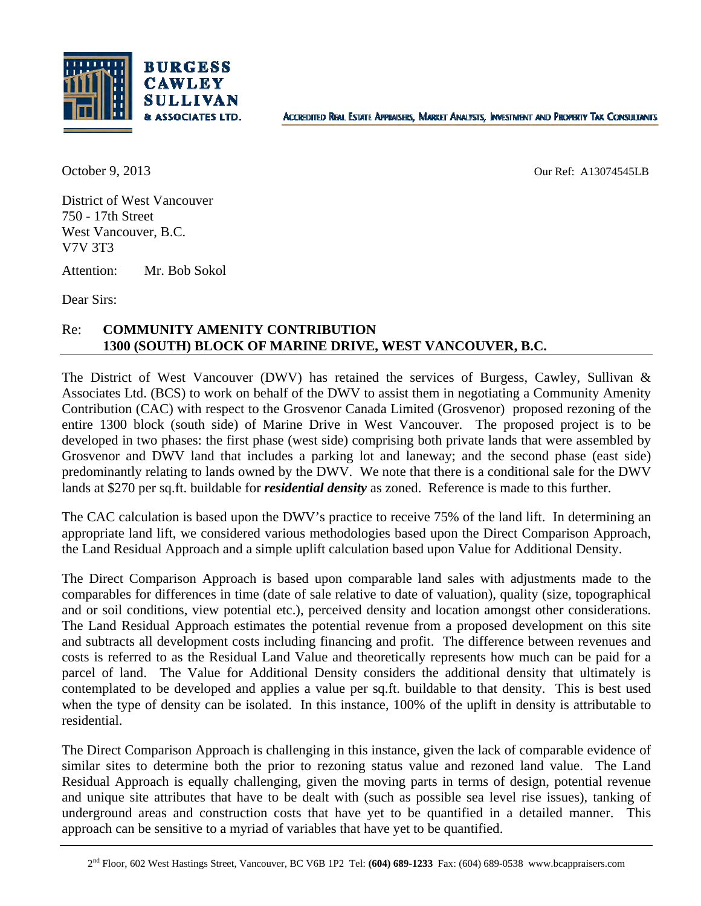

October 9, 2013 Our Ref: A13074545LB

District of West Vancouver 750 - 17th Street West Vancouver, B.C. V7V 3T3

Attention: Mr. Bob Sokol

Dear Sirs:

## Re: **COMMUNITY AMENITY CONTRIBUTION 1300 (SOUTH) BLOCK OF MARINE DRIVE, WEST VANCOUVER, B.C.**

The District of West Vancouver (DWV) has retained the services of Burgess, Cawley, Sullivan & Associates Ltd. (BCS) to work on behalf of the DWV to assist them in negotiating a Community Amenity Contribution (CAC) with respect to the Grosvenor Canada Limited (Grosvenor) proposed rezoning of the entire 1300 block (south side) of Marine Drive in West Vancouver. The proposed project is to be developed in two phases: the first phase (west side) comprising both private lands that were assembled by Grosvenor and DWV land that includes a parking lot and laneway; and the second phase (east side) predominantly relating to lands owned by the DWV. We note that there is a conditional sale for the DWV lands at \$270 per sq.ft. buildable for *residential density* as zoned. Reference is made to this further.

The CAC calculation is based upon the DWV's practice to receive 75% of the land lift. In determining an appropriate land lift, we considered various methodologies based upon the Direct Comparison Approach, the Land Residual Approach and a simple uplift calculation based upon Value for Additional Density.

The Direct Comparison Approach is based upon comparable land sales with adjustments made to the comparables for differences in time (date of sale relative to date of valuation), quality (size, topographical and or soil conditions, view potential etc.), perceived density and location amongst other considerations. The Land Residual Approach estimates the potential revenue from a proposed development on this site and subtracts all development costs including financing and profit. The difference between revenues and costs is referred to as the Residual Land Value and theoretically represents how much can be paid for a parcel of land. The Value for Additional Density considers the additional density that ultimately is contemplated to be developed and applies a value per sq.ft. buildable to that density. This is best used when the type of density can be isolated. In this instance, 100% of the uplift in density is attributable to residential.

The Direct Comparison Approach is challenging in this instance, given the lack of comparable evidence of similar sites to determine both the prior to rezoning status value and rezoned land value. The Land Residual Approach is equally challenging, given the moving parts in terms of design, potential revenue and unique site attributes that have to be dealt with (such as possible sea level rise issues), tanking of underground areas and construction costs that have yet to be quantified in a detailed manner. This approach can be sensitive to a myriad of variables that have yet to be quantified.

<sup>2</sup>nd Floor, 602 West Hastings Street, Vancouver, BC V6B 1P2 Tel: **(604) 689-1233** Fax: (604) 689-0538 www.bcappraisers.com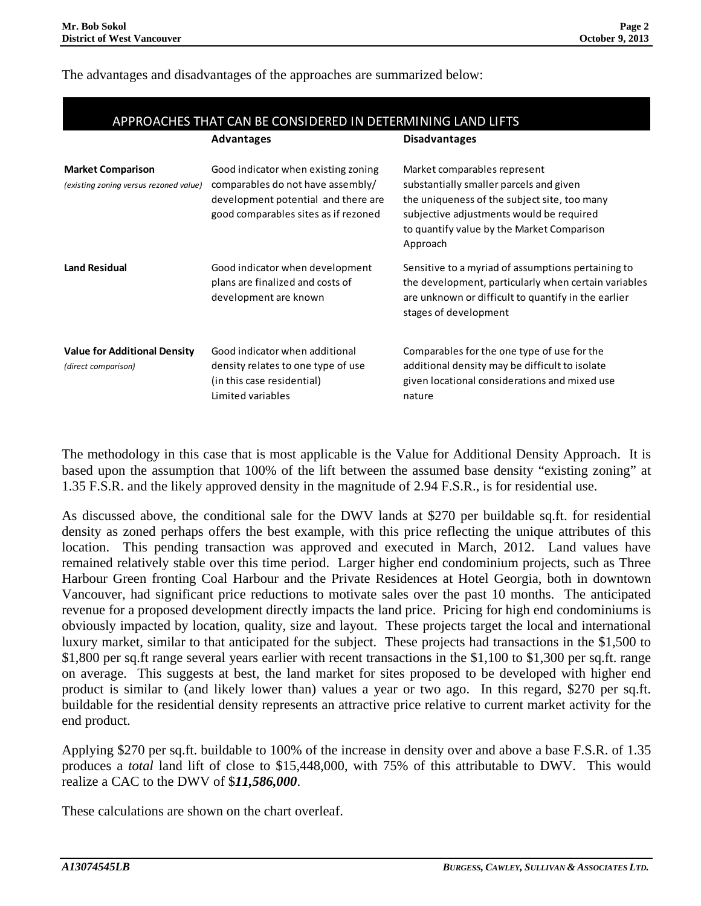## The advantages and disadvantages of the approaches are summarized below:

|                                                                    | <b>Advantages</b>                                                                                                                                       | <b>Disadvantages</b>                                                                                                                                                                                                          |
|--------------------------------------------------------------------|---------------------------------------------------------------------------------------------------------------------------------------------------------|-------------------------------------------------------------------------------------------------------------------------------------------------------------------------------------------------------------------------------|
| <b>Market Comparison</b><br>(existing zoning versus rezoned value) | Good indicator when existing zoning<br>comparables do not have assembly/<br>development potential and there are<br>good comparables sites as if rezoned | Market comparables represent<br>substantially smaller parcels and given<br>the uniqueness of the subject site, too many<br>subjective adjustments would be required<br>to quantify value by the Market Comparison<br>Approach |
| <b>Land Residual</b>                                               | Good indicator when development<br>plans are finalized and costs of<br>development are known                                                            | Sensitive to a myriad of assumptions pertaining to<br>the development, particularly when certain variables<br>are unknown or difficult to quantify in the earlier<br>stages of development                                    |
| <b>Value for Additional Density</b><br>(direct comparison)         | Good indicator when additional<br>density relates to one type of use<br>(in this case residential)<br>Limited variables                                 | Comparables for the one type of use for the<br>additional density may be difficult to isolate<br>given locational considerations and mixed use<br>nature                                                                      |

The methodology in this case that is most applicable is the Value for Additional Density Approach. It is based upon the assumption that 100% of the lift between the assumed base density "existing zoning" at 1.35 F.S.R. and the likely approved density in the magnitude of 2.94 F.S.R., is for residential use.

As discussed above, the conditional sale for the DWV lands at \$270 per buildable sq.ft. for residential density as zoned perhaps offers the best example, with this price reflecting the unique attributes of this location. This pending transaction was approved and executed in March, 2012. Land values have remained relatively stable over this time period. Larger higher end condominium projects, such as Three Harbour Green fronting Coal Harbour and the Private Residences at Hotel Georgia, both in downtown Vancouver, had significant price reductions to motivate sales over the past 10 months. The anticipated revenue for a proposed development directly impacts the land price. Pricing for high end condominiums is obviously impacted by location, quality, size and layout. These projects target the local and international luxury market, similar to that anticipated for the subject. These projects had transactions in the \$1,500 to \$1,800 per sq.ft range several years earlier with recent transactions in the \$1,100 to \$1,300 per sq.ft. range on average. This suggests at best, the land market for sites proposed to be developed with higher end product is similar to (and likely lower than) values a year or two ago. In this regard, \$270 per sq.ft. buildable for the residential density represents an attractive price relative to current market activity for the end product.

Applying \$270 per sq.ft. buildable to 100% of the increase in density over and above a base F.S.R. of 1.35 produces a *total* land lift of close to \$15,448,000, with 75% of this attributable to DWV. This would realize a CAC to the DWV of \$*11,586,000*.

These calculations are shown on the chart overleaf.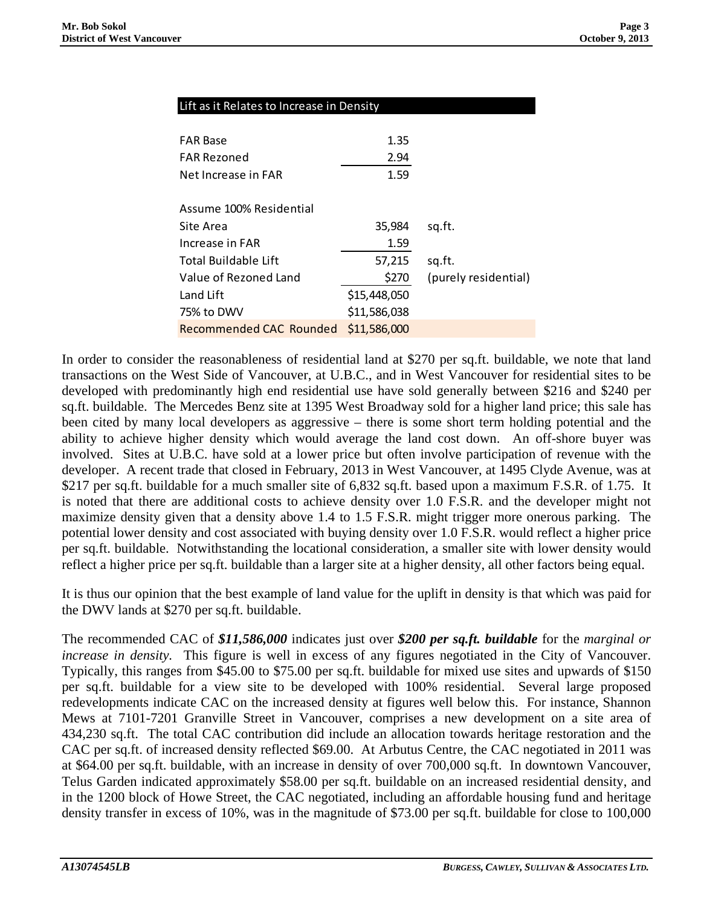| Lift as it Relates to Increase in Density |  |  |
|-------------------------------------------|--|--|
|-------------------------------------------|--|--|

| <b>FAR Base</b><br><b>FAR Rezoned</b> | 1.35<br>2.94 |                      |
|---------------------------------------|--------------|----------------------|
| Net Increase in FAR                   | 1.59         |                      |
| Assume 100% Residential               |              |                      |
| Site Area                             | 35,984       | sq.ft.               |
| Increase in FAR                       | 1.59         |                      |
| Total Buildable Lift                  | 57,215       | sq.ft.               |
| Value of Rezoned Land                 | \$270        | (purely residential) |
| Land Lift                             | \$15,448,050 |                      |
| 75% to DWV                            | \$11,586,038 |                      |
| <b>Recommended CAC Rounded</b>        | \$11,586,000 |                      |

In order to consider the reasonableness of residential land at \$270 per sq.ft. buildable, we note that land transactions on the West Side of Vancouver, at U.B.C., and in West Vancouver for residential sites to be developed with predominantly high end residential use have sold generally between \$216 and \$240 per sq.ft. buildable. The Mercedes Benz site at 1395 West Broadway sold for a higher land price; this sale has been cited by many local developers as aggressive – there is some short term holding potential and the ability to achieve higher density which would average the land cost down. An off-shore buyer was involved. Sites at U.B.C. have sold at a lower price but often involve participation of revenue with the developer. A recent trade that closed in February, 2013 in West Vancouver, at 1495 Clyde Avenue, was at \$217 per sq.ft. buildable for a much smaller site of 6,832 sq.ft. based upon a maximum F.S.R. of 1.75. It is noted that there are additional costs to achieve density over 1.0 F.S.R. and the developer might not maximize density given that a density above 1.4 to 1.5 F.S.R. might trigger more onerous parking. The potential lower density and cost associated with buying density over 1.0 F.S.R. would reflect a higher price per sq.ft. buildable. Notwithstanding the locational consideration, a smaller site with lower density would reflect a higher price per sq.ft. buildable than a larger site at a higher density, all other factors being equal.

It is thus our opinion that the best example of land value for the uplift in density is that which was paid for the DWV lands at \$270 per sq.ft. buildable.

The recommended CAC of *\$11,586,000* indicates just over *\$200 per sq.ft. buildable* for the *marginal or increase in density.* This figure is well in excess of any figures negotiated in the City of Vancouver. Typically, this ranges from \$45.00 to \$75.00 per sq.ft. buildable for mixed use sites and upwards of \$150 per sq.ft. buildable for a view site to be developed with 100% residential. Several large proposed redevelopments indicate CAC on the increased density at figures well below this. For instance, Shannon Mews at 7101-7201 Granville Street in Vancouver, comprises a new development on a site area of 434,230 sq.ft. The total CAC contribution did include an allocation towards heritage restoration and the CAC per sq.ft. of increased density reflected \$69.00. At Arbutus Centre, the CAC negotiated in 2011 was at \$64.00 per sq.ft. buildable, with an increase in density of over 700,000 sq.ft. In downtown Vancouver, Telus Garden indicated approximately \$58.00 per sq.ft. buildable on an increased residential density, and in the 1200 block of Howe Street, the CAC negotiated, including an affordable housing fund and heritage density transfer in excess of 10%, was in the magnitude of \$73.00 per sq.ft. buildable for close to 100,000